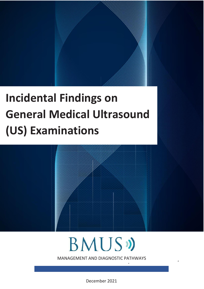# **Incidental Findings on General Medical Ultrasound (US) Examinations**

V1 March 2020. Current V1 March 2020. Current V1 Dec 2021 Revision due 2025. Current V1 Dec 2025

# **BMUS**

I MANAGEMENT AND DIAGNOSTIC PATHWAYS GUIDANCE

 $\ddot{\phantom{1}}$ 

December 2021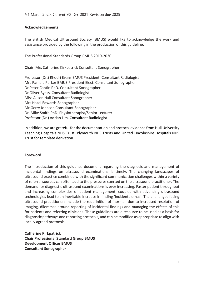#### **Acknowledgements**

The British Medical Ultrasound Society (BMUS) would like to acknowledge the work and assistance provided by the following in the production of this guideline:

The Professional Standards Group BMUS 2019-2020:

Chair: Mrs Catherine Kirkpatrick Consultant Sonographer

Professor (Dr.) Rhodri Evans BMUS President. Consultant Radiologist Mrs Pamela Parker BMUS President Elect. Consultant Sonographer Dr Peter Cantin PhD. Consultant Sonographer Dr Oliver Byass. Consultant Radiologist Miss Alison Hall Consultant Sonographer Mrs Hazel Edwards Sonographer Mr Gerry Johnson Consultant Sonographer Dr. Mike Smith PhD. Physiotherapist/Senior Lecturer Professor (Dr.) Adrian Lim, Consultant Radiologist

In addition, we are grateful for the documentation and protocol evidence from Hull University Teaching Hospitals NHS Trust, Plymouth NHS Trusts and United Lincolnshire Hospitals NHS Trust for template derivation.

#### **Foreword**

The introduction of this guidance document regarding the diagnosis and management of incidental findings on ultrasound examinations is timely. The changing landscapes of ultrasound practice combined with the significant communication challenges within a variety of referral sources can often add to the pressures exerted on the ultrasound practitioner. The demand for diagnostic ultrasound examinations is ever increasing. Faster patient throughput and increasing complexities of patient management, coupled with advancing ultrasound technologies lead to an inevitable increase in finding 'incidentalomas'. The challenges facing ultrasound practitioners include the redefinition of 'normal' due to increased resolution of imaging, dilemmas around reporting of incidental findings and managing the effects of this for patients and referring clinicians. These guidelines are a resource to be used as a basis for diagnostic pathways and reporting protocols, and can be modified as appropriate to align with locally agreed protocols

**Catherine Kirkpatrick Chair Professional Standard Group BMUS Development Officer BMUS Consultant Sonographer**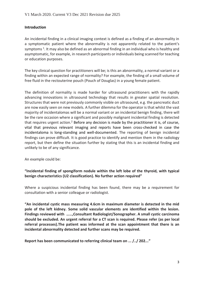#### **Introduction**

An incidental finding in a clinical imaging context is defined as a finding of an abnormality in a symptomatic patient where the abnormality is not apparently related to the patient's symptoms  $^1$ . It may also be defined as an abnormal finding in an individual who is healthy and asymptomatic, for example, in research participants or individuals being scanned for teaching or education purposes.

The key clinical question for practitioners will be; is this an abnormality, a normal variant or a finding within an expected range of normality? For example, the finding of a small volume of free fluid in the rectouterine pouch (Pouch of Douglas) in a young female patient.

The definition of normality is made harder for ultrasound practitioners with the rapidly advancing innovations in ultrasound technology that results in greater spatial resolution. Structures that were not previously commonly visible on ultrasound, e.g. the pancreatic duct are now easily seen on new models. A further dilemma for the operator is that whilst the vast majority of incidentalomas will be a normal variant or an incidental benign finding, there will be the rare occasion where a significant and possibly malignant incidental finding is detected that requires urgent action.<sup>2</sup> Before any decision is made by the practitioner it is, of course, vital that previous relevant imaging and reports have been cross-checked in case the incidentaloma is long-standing and well-documented. The reporting of benign incidental findings can prove difficult. It is good practice to identify and mention them in the radiology report, but then define the situation further by stating that this is an incidental finding and unlikely to be of any significance.

An example could be:

# **"Incidental finding of spongiform nodule within the left lobe of the thyroid, with typical benign characteristics (U2 classification). No further action required"**

Where a suspicious incidental finding has been found, there may be a requirement for consultation with a senior colleague or radiologist.

**"An incidental cystic mass measuring 4.6cm in maximum diameter is detected in the mid pole of the left kidney. Some solid vascular elements are identified within the lesion. Findings reviewed with ……,Consultant Radiologist/Sonographer. A small cystic carcinoma should be excluded. An urgent referral for a CT scan is required. Please refer (as per local referral processes).The patient was informed at the scan appointment that there is an incidental abnormality detected and further scans may be required.** 

**Report has been communicated to referring clinical team on ... /../ 202..."**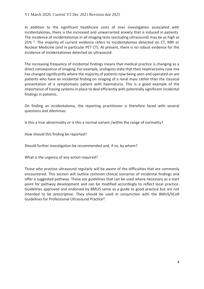In addition to the significant healthcare costs of over investigation associated with incidentalomas, there is the increased and unwarranted anxiety that is induced in patients. The incidence of incidentalomas in all imaging tests (excluding ultrasound) may be as high as 25%<sup>3</sup>. The majority of current evidence refers to incidentalomas detected on CT, MRI or Nuclear Medicine (and in particular PET CT). At present, there is no robust evidence for the incidence of incidentalomas detected on ultrasound.

The increasing frequency of incidental findings means that medical practice is changing as a direct consequence of imaging. For example, urologists state that their nephrectomy case mix has changed significantly where the majority of patients now being seen and operated on are patients who have an incidental finding on imaging of a renal mass rather than the classical presentation of a symptomatic patient with haematuria. This is a good example of the importance of having systems in place to deal efficiently with potentially significant incidental findings in patients.

On finding an incidentaloma, the reporting practitioner is therefore faced with several questions and dilemmas:

Is this a true abnormality or is this a normal variant /within the range of normality?

How should this finding be reported?

Should further investigation be recommended and, if so, by whom?

What is the urgency of any action required?

Those who practise ultrasound regularly will be aware of the difficulties that are commonly encountered. This section will outline common clinical scenarios of incidental findings and offer a suggested pathway. These are guidelines that can be used where necessary as a start point for pathway development and can be modified accordingly to reflect local practice. Guidelines approved and endorsed by BMUS serve as a guide to good practice but are not intended to be prescriptive. They should be used in conjunction with the BMUS/SCoR Guidelines for Professional Ultrasound Practice<sup>4</sup>.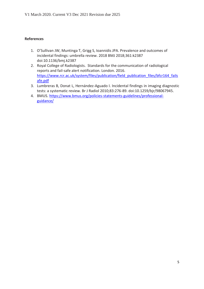- 1. O'Sullivan JW, Muntinga T, Grigg S, Ioannidis JPA. Prevalence and outcomes of incidental findings: umbrella review. 2018 BMJ 2018;361:k2387 doi:10.1136/bmj.k2387
- 2. Royal College of Radiologists. Standards for the communication of radiological reports and fail-safe alert notification. London. 2016. [https://www.rcr.ac.uk/system/files/publication/field\\_publication\\_files/bfcr164\\_fails](https://www.rcr.ac.uk/system/files/publication/field_publication_files/bfcr164_failsafe.pdf) [afe.pdf](https://www.rcr.ac.uk/system/files/publication/field_publication_files/bfcr164_failsafe.pdf)
- 3. Lumbreras B, Donat L, Hernández-Aguado I. Incidental findings in imaging diagnostic tests: a systematic review. Br J Radiol 2010;83:276-89. doi:10.1259/bjr/98067945.
- 4. BMUS. [https://www.bmus.org/policies-statements-guidelines/professional](https://www.bmus.org/policies-statements-guidelines/professional-guidance/)[guidance/](https://www.bmus.org/policies-statements-guidelines/professional-guidance/)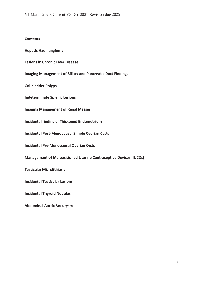#### **Contents**

**Hepatic Haemangioma** 

**Lesions in Chronic Liver Disease** 

**Imaging Management of Biliary and Pancreatic Duct Findings**

**Gallbladder Polyps**

**Indeterminate Splenic Lesions**

**Imaging Management of Renal Masses**

**Incidental finding of Thickened Endometrium**

**Incidental Post-Menopausal Simple Ovarian Cysts**

**Incidental Pre-Menopausal Ovarian Cysts** 

**Management of Malpositioned Uterine Contraceptive Devices (IUCDs)**

**Testicular Microlithiasis**

**Incidental Testicular Lesions**

**Incidental Thyroid Nodules**

**Abdominal Aortic Aneurysm**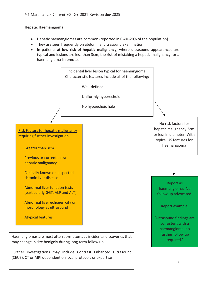#### **Hepatic Haemangioma**

- Hepatic haemangiomas are common (reported in 0.4%-20% of the population).
- They are seen frequently on abdominal ultrasound examination.
- In patients **at low risk of hepatic malignancy,** where ultrasound appearances are typical and lesions are less than 3cm, the risk of mistaking a hepatic malignancy for a haemangioma is remote.



Further investigations may include Contrast Enhanced Ultrasound (CEUS), CT or MRI dependent on local protocols or expertise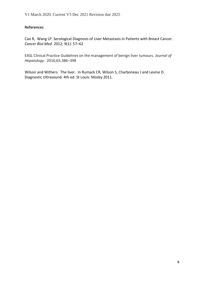[Cao](https://www.ncbi.nlm.nih.gov/pubmed/?term=Cao%20R%5BAuthor%5D&cauthor=true&cauthor_uid=23691457) R, [Wang](https://www.ncbi.nlm.nih.gov/pubmed/?term=Wang%20Lp%5BAuthor%5D&cauthor=true&cauthor_uid=23691457) LP. Serological Diagnosis of Liver Metastasis in Patients with Breast Cancer. *Cancer Biol Med*. 2012; 9(1): 57–62

EASL Clinical Practice Guidelines on the management of benign liver tumours. *Journal of Hepatology.* 2016;65:386–398

Wilson and Withers. The liver. In Rumack CR, Wilson S, Charboneau J and Levine D. Diagnostic Ultrasound. 4th ed. St Louis: Mosby 2011.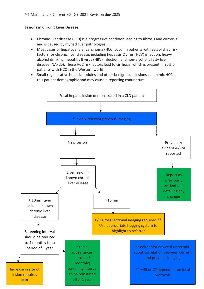#### **Lesions in Chronic Liver Disease**

- Chronic liver disease (CLD) is a progressive condition leading to fibrosis and cirrhosis and is caused by myriad liver pathologies
- Most cases of hepatocellular carcinoma (HCC) occur in patients with established risk factors for chronic liver disease, including hepatitis C virus (HCV) infection, heavy alcohol drinking, hepatitis B virus (HBV) infection, and non-alcoholic fatty liver disease (NAFLD). These HCC risk factors lead to cirrhosis, which is present in 90% of patients with HCC in the Western world
- Small regenerative hepatic nodules and other benign focal lesions can mimic HCC in this patient demographic and may cause a reporting conundrum

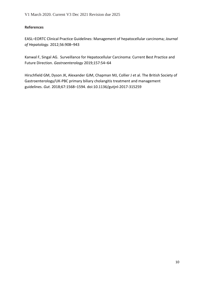EASL–EORTC Clinical Practice Guidelines: Management of hepatocellular carcinoma; *Journal of Hepatology*. 2012;56:908–943

Kanwal F, Singal AG. Surveillance for Hepatocellular Carcinoma: Current Best Practice and Future Direction. *Gastroenterology* 2019;157:54–64

Hirschfield GM, Dyson JK, Alexander GJM, Chapman MJ, Collier J et al. The British Society of Gastroenterology/UK-PBC primary biliary cholangitis treatment and management guidelines. *Gut.* 2018;67:1568–1594. doi:10.1136/gutjnl-2017-315259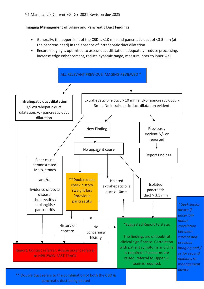#### **Imaging Management of Biliary and Pancreatic Duct Findings**

- Generally, the upper limit of the CBD is <10 mm and pancreatic duct of <3.5 mm (at the pancreas head) in the absence of intrahepatic duct dilatation.
- Ensure imaging is optimised to assess duct dilatation adequately- reduce processing, increase edge enhancement, reduce dynamic range, measure inner to inner wall

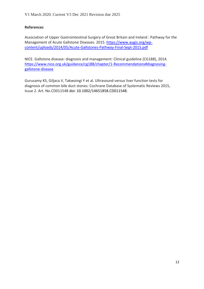Association of Upper Gastrointestinal Surgery of Great Britain and Ireland : Pathway for the Management of Acute Gallstone Diseases. 2015. [https://www.augis.org/wp](https://www.augis.org/wp-content/uploads/2014/05/Acute-Gallstones-Pathway-Final-Sept-2015.pdf)[content/uploads/2014/05/Acute-Gallstones-Pathway-Final-Sept-2015.pdf](https://www.augis.org/wp-content/uploads/2014/05/Acute-Gallstones-Pathway-Final-Sept-2015.pdf)

NICE. Gallstone disease: diagnosis and management: Clinical guideline [CG188], 2014. [https://www.nice.org.uk/guidance/cg188/chapter/1-Recommendations#diagnosing](https://www.nice.org.uk/guidance/cg188/chapter/1-Recommendations#diagnosing-gallstone-disease)[gallstone-disease](https://www.nice.org.uk/guidance/cg188/chapter/1-Recommendations#diagnosing-gallstone-disease)

Gurusamy KS, Giljaca V, Takwoingi Y et al. Ultrasound versus liver function tests for diagnosis of common bile duct stones. Cochrane Database of Systematic Reviews 2015, Issue 2. Art. No.CD011548 doi: 10.1002/14651858.CD011548.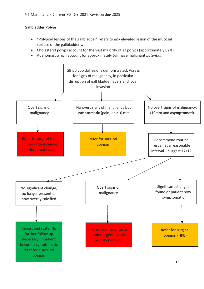# **Gallbladder Polyps**

- "Polypoid lesions of the gallbladder" refers to *any* elevated lesion of the mucosal surface of the gallbladder wall
- Cholesterol polyps account for the vast majority of all polyps (approximately 62%)
- Adenomas, which account for approximately 6%, have malignant *potential*.

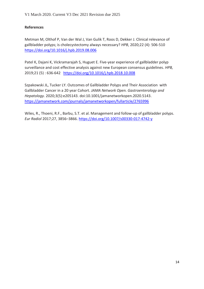Metman M, Olthof P, Van der Wal J, Van Gulik T, Roos D, Dekker J. Clinical relevance of gallbladder polyps; is cholecystectomy always necessary? *HPB*, 2020;22 (4): 506-510 <https://doi.org/10.1016/j.hpb.2019.08.006>

Patel K, Dajani K, Vickramarajah S, Huguet E. Five-year experience of gallbladder polyp surveillance and cost effective analysis against new European consensus guidelines. *HPB,* 2019;21 (5) : 636-642 <https://doi.org/10.1016/j.hpb.2018.10.008>

Szpakowski JL, Tucker LY. Outcomes of Gallbladder Polyps and Their Association with Gallbladder Cancer in a 20 year Cohort. *JAMA Network Open. Gastroenterology and Hepatology.* 2020;3(5):e205143. doi:10.1001/jamanetworkopen.2020.5143. <https://jamanetwork.com/journals/jamanetworkopen/fullarticle/2765996>

Wiles, R., Thoeni, R.F., Barbu, S.T. et al. Management and follow-up of gallbladder polyps. *Eur Radiol* 2017;27, 3856–3866.<https://doi.org/10.1007/s00330-017-4742-y>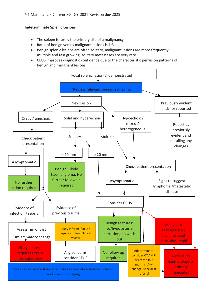# **Indeterminate Splenic Lesions**

- The spleen is rarely the primary site of a malignancy
- Ratio of benign versus malignant lesions is 1:3
- Benign splenic lesions are often solitary, malignant lesions are more frequently multiple and fast growing; solitary metastases are very rare
- CEUS improves diagnostic confidence due to the characteristic perfusion patterns of benign and malignant lesions

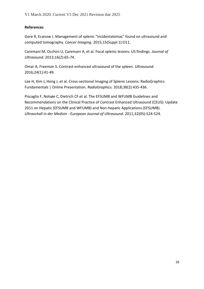Gore R, Ecanow J. Management of splenic "incidentalomas" found on ultrasound and computed tomography. *Cancer Imaging.* 2015;15(Suppl 1):O11.

Caremani M, Occhini U, Caremani A, et al. Focal splenic lesions: US findings. *Journal of Ultrasound.* 2013;16(2):65-74.

Omar A, Freeman S. Contrast-enhanced ultrasound of the spleen*. Ultrasound.* 2016;24(1):41-49.

Lee H, Kim J, Hong J, et al. Cross-sectional Imaging of Splenic Lesions: RadioGraphics Fundamentals | Online Presentation. *RadioGraphics.* 2018;38(2):435-436.

Piscaglia F, Nolsøe C, Dietrich CF et al. The EFSUMB and WFUMB Guidelines and Recommendations on the Clinical Practice of Contrast Enhanced Ultrasound (CEUS). Update 2011 on Hepatic (EFSUMB and WFUMB) and Non-hepatic Applications (EFSUMB). *Ultraschall in der Medizin - European Journal of Ultrasound.* 2011;32(05):524-524.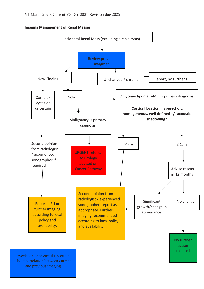**Imaging Management of Renal Masses**

![](_page_16_Figure_2.jpeg)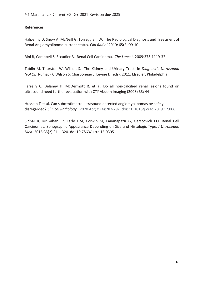Halpenny D, Snow A, McNeill G, Torreggiani W. The Radiological Diagnosis and Treatment of Renal Angiomyolipoma-current status. *Clin Radiol.*2010; 65(2):99-10

Rini B, Campbell S, Escudier B. Renal Cell Carcinoma. *The Lancet.* 2009:373:1119-32

Tublin M, Thurston W, Wilson S. The Kidney and Urinary Tract, in *Diagnostic Ultrasound (vol.1).* Rumack C,Wilson S, Charboneau J, Levine D (eds). 2011. Elsevier, Philadelphia

Farrelly C, Delaney H, McDermott R. et al. Do all non-calcified renal lesions found on ultrasound need further evaluation with CT? Abdom Imaging (2008) 33: 44

Hussein T et al, Can subcentimetre ultrasound detected angiomyolipomas be safely disregarded? *Clinical Radiology.* 2020 Apr;75(4):287-292. doi: 10.1016/j.crad.2019.12.006

Sidhar K, McGahan JP, Early HM, Corwin M, Fananapazir G, Gerscovich EO. Renal Cell Carcinomas: Sonographic Appearance Depending on Size and Histologic Type. *J Ultrasound Med*. 2016;35(2):311–320. doi:10.7863/ultra.15.03051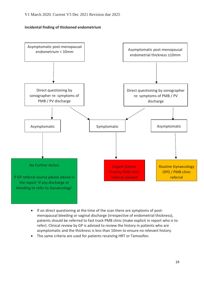#### **Incidental finding of thickened endometrium**

![](_page_18_Figure_2.jpeg)

- If on direct questioning at the time of the scan there are symptoms of postmenopausal bleeding or vaginal discharge (irrespective of endometrial thickness), patients should be referred to fast track PMB clinic (make explicit in report who is to refer). Clinical review by GP is advised to review the history in patients who are asymptomatic and the thickness is less than 10mm to ensure no relevant history.
- The same criteria are used for patients receiving HRT or Tamoxifen.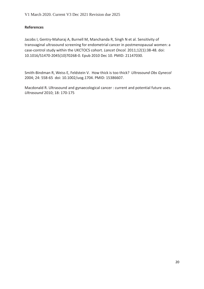Jacobs I, Gentry-Maharaj A, Burnell M, Manchanda R, Singh N et al. Sensitivity of transvaginal ultrasound screening for endometrial cancer in postmenopausal women: a case-control study within the UKCTOCS cohort. *Lancet Oncol.* 2011;12(1):38-48. doi: 10.1016/S1470-2045(10)70268-0. Epub 2010 Dec 10. PMID: 21147030.

Smith-Bindman R, Weiss E, Feldstein V. How thick is too thick? *Ultrasound Obs Gynecol* 2004; 24: 558-65 doi: 10.1002/uog.1704. PMID: 15386607.

Macdonald R. Ultrasound and gynaecological cancer : current and potential future uses. *Ultrasound* 2010; 18: 170-175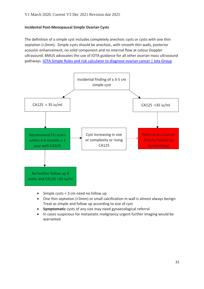#### **Incidental Post-Menopausal Simple Ovarian Cysts**

The definition of a simple cyst includes completely anechoic cysts or cysts with one thin septation (<3mm). Simple cysts should be anechoic, with smooth thin walls, posterior acoustic enhancement, no solid component and no internal flow at colour Doppler ultrasound. BMUS advocates the use of IOTA guidance for all other ovarian mass ultrasound pathways. [IOTA Simple Rules and risk calculator to diagnose ovarian cancer | Iota Group](https://www.iotagroup.org/research/iota-models-software/iota-simple-rules-and-srrisk-calculator-diagnose-ovarian-cancer)

![](_page_20_Figure_3.jpeg)

- Simple cysts < 3 cm need no follow up
- One thin septation (<3mm) or small calcification in wall is almost always benign Treat as simple and follow up according to size of cyst
- **Symptomatic** cysts of any size may need gynaecological referral
- In cases suspicious for metastatic malignancy urgent further imaging would be warranted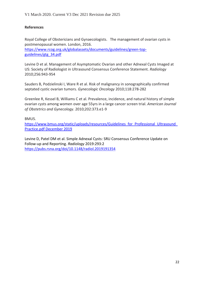Royal College of Obstericians and Gynaecologists. The management of ovarian cysts in postmenopausal women. London, 2016. [https://www.rcog.org.uk/globalassets/documents/guidelines/green-top](https://www.rcog.org.uk/globalassets/documents/guidelines/green-top-guidelines/gtg_34.pdf)[guidelines/gtg\\_34.pdf](https://www.rcog.org.uk/globalassets/documents/guidelines/green-top-guidelines/gtg_34.pdf)

Levine D et al. Management of Asymptomatic Ovarian and other Adnexal Cysts Imaged at US: Society of Radiologist in Ultrasound Consensus Conference Statement. *Radiology*  2010;256:943-954

Sauders B, Podzielinski I, Ware R et al. Risk of malignancy in sonographically confirmed septated cystic ovarian tumors. *Gynecologic Oncology* 2010;118:278-282

Greenlee R, Kessel B, Williams C et al. Prevalence, incidence, and natural history of simple ovarian cysts among women over age 55yrs in a large cancer screen trial. *American Journal of Obstetrics and Gynecology*. 2010;202:373.e1-9

BMUS.

https://www.bmus.org/static/uploads/resources/Guidelines\_for\_Professional\_Ultrasound [Practice.pdf December 2019](https://www.bmus.org/static/uploads/resources/Guidelines_for_Professional_Ultrasound_Practice.pdf%20December%202019)

Levine D, Patel DM et al. Simple Adnexal Cysts: SRU Consensus Conference Update on Follow-up and Reporting. *Radiology* 2019:293:2 <https://pubs.rsna.org/doi/10.1148/radiol.2019191354>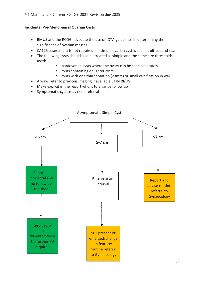# **Incidental Pre-Menopausal Ovarian Cysts**

- BMUS and the RCOG advocate the use of IOTA guidelines in determining the significance of ovarian masses
- CA125 assessment is not required if a simple ovarian cyst is seen at ultrasound scan
- The following cysts should also be treated as simple and the same size thresholds used:
	- paraovarian cysts where the ovary can be seen separately
	- cysts containing daughter cysts
	- cysts with one thin septation (<3mm) or small calcification in wall.
- Always refer to previous imaging if available CT/MRI/US
- Make explicit in the report who is to arrange follow up
- Symptomatic cysts may need referral

![](_page_22_Figure_11.jpeg)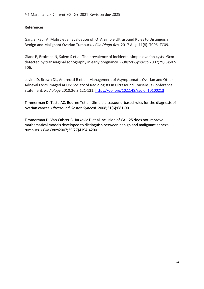Garg S, Kaur A, Mohi J et al. Evaluation of IOTA Simple Ultrasound Rules to Distinguish Benign and Malignant Ovarian Tumours. *J Clin Diagn Res*. 2017 Aug; 11(8): TC06–TC09.

Glanc P, Brofman N, Salem S et al. The prevalence of incidental simple ovarian cysts ≥3cm detected by transvaginal sonography in early pregnancy. *J Obstet Gynaeco* 2007;29,(6)502- 506.

Levine D, Brown DL, Andreotti R et al. Management of Asymptomatic Ovarian and Other Adnexal Cysts Imaged at US: Society of Radiologists in Ultrasound Consensus Conference Statement. *Radiology*,2010:26:3:121-131**.** <https://doi.org/10.1148/radiol.10100213>

Timmerman D, Testa AC, Bourne Tet al. Simple ultrasound-based rules for the diagnosis of ovarian cancer. *Ultrasound Obstet Gynecol*. 2008;31(6):681-90.

Timmerman D, Van Calster B, Jurkovic D et al Inclusion of CA-125 does not improve mathematical models developed to distinguish between benign and malignant adnexal tumours. *J Clin Onco*2007;25(27)4194-4200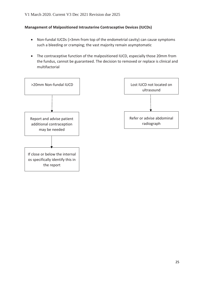#### **Management of Malpositioned Intrauterine Contraceptive Devices (IUCDs)**

- Non-fundal IUCDs (>3mm from top of the endometrial cavity) can cause symptoms such a bleeding or cramping; the vast majority remain asymptomatic
- The contraceptive function of the malpositioned IUCD, especially those 20mm from the fundus, cannot be guaranteed. The decision to removed or replace is clinical and multifactorial

![](_page_24_Figure_4.jpeg)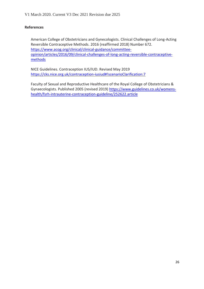American College of Obstetricians and Gynecologists. Clinical Challenges of Long-Acting Reversible Contraceptive Methods. 2016 (reaffirmed 2018) Number 672. [https://www.acog.org/clinical/clinical-guidance/committee](https://www.acog.org/clinical/clinical-guidance/committee-opinion/articles/2016/09/clinical-challenges-of-long-acting-reversible-contraceptive-methods)[opinion/articles/2016/09/clinical-challenges-of-long-acting-reversible-contraceptive](https://www.acog.org/clinical/clinical-guidance/committee-opinion/articles/2016/09/clinical-challenges-of-long-acting-reversible-contraceptive-methods)[methods](https://www.acog.org/clinical/clinical-guidance/committee-opinion/articles/2016/09/clinical-challenges-of-long-acting-reversible-contraceptive-methods)

NICE Guidelines. Contraception IUS/IUD. Revised May 2019 <https://cks.nice.org.uk/contraception-iusiud#!scenarioClarification:7>

Faculty of Sexual and Reproductive Healthcare of the Royal College of Obstetricians & Gynaecologists. Published 2005 (revised 2019) [https://www.guidelines.co.uk/womens](https://www.guidelines.co.uk/womens-health/fsrh-intrauterine-contraception-guideline/252622.article)[health/fsrh-intrauterine-contraception-guideline/252622.article](https://www.guidelines.co.uk/womens-health/fsrh-intrauterine-contraception-guideline/252622.article)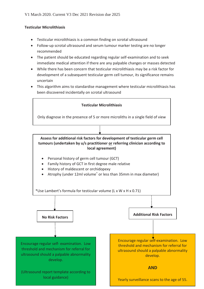#### **Testicular Microlithiasis**

- Testicular microlithiasis is a common finding on scrotal ultrasound
- Follow-up scrotal ultrasound and serum tumour marker testing are no longer recommended
- The patient should be educated regarding regular self-examination and to seek immediate medical attention if there are any palpable changes or masses detected
- While there has been concern that testicular microlithiasis may be a risk factor for development of a subsequent testicular germ cell tumour, its significance remains uncertain
- This algorithm aims to standardise management where testicular microlithiasis has been discovered incidentally on scrotal ultrasound

![](_page_26_Figure_7.jpeg)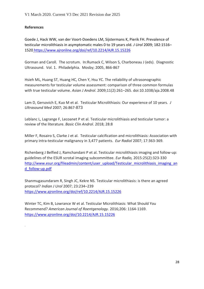.

Goede J, Hack WW, van der Voort-Doedens LM, Sijstermans K, Pierik FH. Prevalence of testicular microlithiasis in asymptomatic males 0 to 19 years old. *J Urol* 2009; 182:1516– 1520 <https://www.ajronline.org/doi/ref/10.2214/AJR.15.15226>

Gorman and Caroll. The scrotum. In:Rumack C, Wilson S, Charboneau J (eds). Diagnostic Ultrasound. Vol. 1. Philadelphia. Mosby; 2005, 866-867

Hsieh ML, Huang ST, Huang HC, Chen Y, Hsu YC. The reliability of ultrasonographic measurements for testicular volume assessment: comparison of three common formulas with true testicular volume. *Asian J Androl*. 2009;11(2):261–265. doi:10.1038/aja.2008.48

Lam D, Gersovich E, Kuo M et al. Testicular Microlithiasis: Our experience of 10 years. *J Ultrasound Med* 2007; 26:867-873

Leblanc L, Lagrange F, Lecoanet P et al. Testicular microlithiasis and testicular tumor: a review of the literature. *Basic Clin Androl*. 2018; 28:8

Miller F, Rosairo S, Clarke J et al. Testicular calcification and microlithiasis: Association with primary intra-testicular malignancy in 3,477 patients. *Eur Radiol* 2007; 17:363-369.

Richenberg J Belfied J, Ramchandani P et al. Testicular microlithiasis imaging and follow-up: guidelines of the ESUR scrotal imaging subcommittee. *Eur Radio,* 2015:25(2):323-330 [http://www.esur.org/fileadmin/content/user\\_upload/Testicular\\_microlithiasis\\_imaging\\_an](http://www.esur.org/fileadmin/content/user_upload/Testicular_microlithiasis_imaging_and_follow-up.pdf) [d\\_follow-up.pdf](http://www.esur.org/fileadmin/content/user_upload/Testicular_microlithiasis_imaging_and_follow-up.pdf)

Shanmugasundaram R, Singh JC, Kekre NS. Testicular microlithiasis: is there an agreed protocol? *Indian J Urol* 2007; 23:234–239 <https://www.ajronline.org/doi/ref/10.2214/AJR.15.15226>

Winter TC, Kim B, Lowrance W et al. Testicular Microlithiasis: What Should You Recommend? *American Journal of Roentgenology.* 2016;206: 1164-1169. <https://www.ajronline.org/doi/10.2214/AJR.15.15226>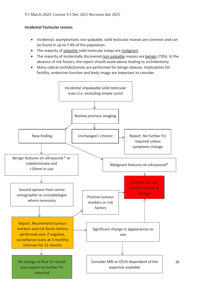# **Incidental Testicular Lesions**

- Incidental, asymptomatic non-palpable, solid testicular masses are common and can be found in up to 7.4% of the population
- The majority of palpable solid testicular lumps are malignant
- The majority of incidentally discovered non-palpable masses are benign (73%). In the absence of risk factors, the report should avoid advice leading to orchidectomy.
- Many radical orchidectomies are performed for benign disease. Implications for fertility, endocrine function and body image are important to consider

![](_page_28_Figure_6.jpeg)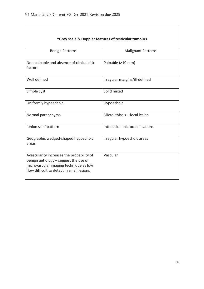| *Grey scale & Doppler features of testicular tumours                                                                                                                      |                                 |  |
|---------------------------------------------------------------------------------------------------------------------------------------------------------------------------|---------------------------------|--|
| <b>Benign Patterns</b>                                                                                                                                                    | <b>Malignant Patterns</b>       |  |
| Non palpable and absence of clinical risk<br>factors                                                                                                                      | Palpable (>10 mm)               |  |
| Well defined                                                                                                                                                              | Irregular margins/ill-defined   |  |
| Simple cyst                                                                                                                                                               | Solid mixed                     |  |
| Uniformly hypoechoic                                                                                                                                                      | Hypoechoic                      |  |
| Normal parenchyma                                                                                                                                                         | Microlithiasis + focal lesion   |  |
| 'onion skin' pattern                                                                                                                                                      | Intralesion microcalcifications |  |
| Geographic wedged-shaped hypoechoic<br>areas                                                                                                                              | Irregular hypoechoic areas      |  |
| Avascularity increases the probability of<br>benign aetiology - suggest the use of<br>microvascular imaging technique as low<br>flow difficult to detect in small lesions | Vascular                        |  |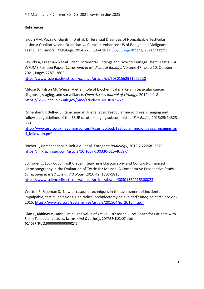Isidori AM, Pozza C, Gianfrilli D et al. Differential Diagnosis of Nonpalpable Testicular Lesions: Qualitative and Quantitative Contrast-enhanced US of Benign and Malignant Testicular Tumors. *Radiology*. 2014;273, 606-618 <https://doi.org/10.1148/radiol.14132718>

Lewicki A, Freeman S et al . 2021. Incidental Findings and How to Manage Them: Testis— A WFUMB Position Paper. *Ultrasound in Medicine & Biology.* Volume 47, Issue 10, October 2021, Pages 2787 -2802

<https://www.sciencedirect.com/science/article/pii/S0301562921002520>

Milose JC, Filson CP, Weizer A et al. Role of biochemical markers in testicular cancer: diagnosis, staging, and surveillance. *Open Access Journal of Urology.* 2012; 4:1-8 <https://www.ncbi.nlm.nih.gov/pmc/articles/PMC3818947/>

Richenberg J, Belfied J, Ramchandani P et al et al. Testicular microlithiasis imaging and follow-up: guidelines of the ESUR scrotal imaging subcommittee. *Eur Radio,* 2015:25(2):323- 330

[http://www.esur.org/fileadmin/content/user\\_upload/Testicular\\_microlithiasis\\_imaging\\_an](http://www.esur.org/fileadmin/content/user_upload/Testicular_microlithiasis_imaging_and_follow-up.pdf) [d\\_follow-up.pdf](http://www.esur.org/fileadmin/content/user_upload/Testicular_microlithiasis_imaging_and_follow-up.pdf)

Rocher L, Ramchandani P, Belfield J et al. *European Radiology*, 2016;26,2268–2278. <https://link.springer.com/article/10.1007/s00330-015-4059-7>

Schröder C, Lock G, Schmidt C et al. Real-Time Elastography and Contrast-Enhanced Ultrasonography in the Evaluation of Testicular Masses: A Comparative Prospective Study. *Ultrasound in Medicine and Biology.* 2016;42: 1807-1815 <https://www.sciencedirect.com/science/article/abs/pii/S0301562916300023>

Wotton F, Freeman S. New ultrasound techniques in the assessment of incidental, impalpable, testicular lesions: Can radical orchidectomy be avoided? *Imaging and Oncology*. 2015. [https://www.sor.org/system/files/article/201504/io\\_2015\\_lr.pdf](https://www.sor.org/system/files/article/201504/io_2015_lr.pdf)

Qian L, Abhinav V, Hahn P et al. The Value of Active Ultrasound Surveillance for Patients With Small Testicular Lesions, *Ultrasound Quarterly*, 2017;33(1)23-27 doi: 10.1097/RUQ.0000000000000245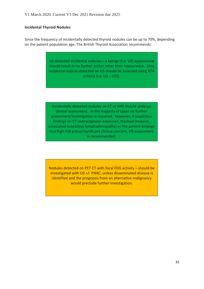#### **Incidental Thyroid Nodules**

Since the frequency of incidentally detected thyroid nodules can be up to 70%, depending on the patient population age, The British Thyroid Association recommends:

> US detected incidental nodules – a benign (i.e. U2) appearance should result in no further action other than reassurance. (Any incidental nodule detected on US should be assessed using BTA criteria (i.e.  $U1 - U5$ )).

> Incidentally detected nodules on CT or MRI should undergo clinical assessment. In the majority of cases no further assessment/investigation is required. However, if suspicious findings on CT (extracapsular extension, tracheal invasion, associated suspicious lymphadenopathy) or the patient belongs to a high risk group/significant clinical concern, US assessment is recommended.

> Nodules detected on PET CT with focal FDG activity – should be investigated with US +/- FNAC, unless disseminated disease is identified and the prognosis from an alternative malignancy would preclude further investigation.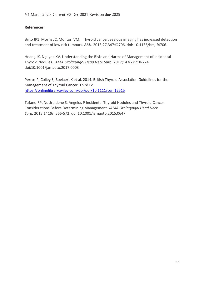Brito JP1, Morris JC, Montori VM. Thyroid cancer: zealous imaging has increased detection and treatment of low risk tumours. *BMJ.* 2013;27,347:f4706. doi: 10.1136/bmj.f4706.

[Hoang JK,](https://jamanetwork.com/searchresults?author=Jenny+K.+Hoang&q=Jenny+K.+Hoang) Nguyen XV. Understanding the Risks and Harms of Management of Incidental Thyroid Nodules. *JAMA Otolaryngol Head Neck Surg*. 2017;143(7):718-724. doi:10.1001/jamaoto.2017.0003

Perros P, Colley S, Boelaert K et al. 2014. British Thyroid Association Guidelines for the Management of Thyroid Cancer. Third Ed. <https://onlinelibrary.wiley.com/doi/pdf/10.1111/cen.12515>

Tufano RP, NoUreldene S, Angelos P Incidental Thyroid Nodules and Thyroid Cancer Considerations Before Determining Management. *JAMA Otolaryngol Head Neck Surg.* 2015;141(6):566-572. doi:10.1001/jamaoto.2015.0647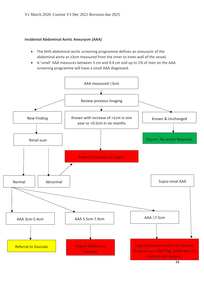#### **Incidental Abdominal Aortic Aneurysm (AAA)**

- The NHS abdominal aortic screening programme defines an aneurysm of the abdominal aorta as ≥3cm measured from the inner to inner wall of the vessel.
- A 'small' AAA measures between 3 cm and 4.4 cm and up to 1% of men on the AAA screening programme will have a small AAA diagnosed.

![](_page_33_Figure_4.jpeg)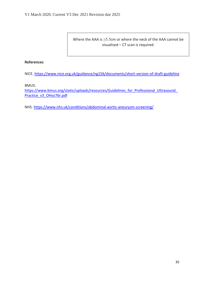Where the AAA is ≥5.5cm or where the neck of the AAA cannot be visualised – CT scan is required.

#### **References**

NICE. <https://www.nice.org.uk/guidance/ng156/documents/short-version-of-draft-guideline>

BMUS.

https://www.bmus.org/static/uploads/resources/Guidelines\_for\_Professional\_Ultrasound [Practice\\_v3\\_OHoz76r.pdf](https://www.bmus.org/static/uploads/resources/Guidelines_for_Professional_Ultrasound_Practice_v3_OHoz76r.pdf)

NHS.<https://www.nhs.uk/conditions/abdominal-aortic-aneurysm-screening/>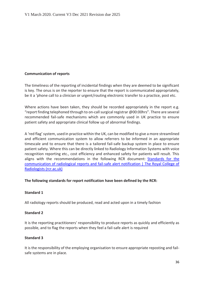#### **Communication of reports**

The timeliness of the reporting of incidental findings when they are deemed to be significant is key. The onus is on the reporter to ensure that the report is communicated appropriately, be it a 'phone call to a clinician or urgent/routing electronic transfer to a practice, post etc.

Where actions have been taken, they should be recorded appropriately in the report e.g. "report finding telephoned through to on-call surgical registrar @00:00hrs". There are several recommended fail-safe mechanisms which are commonly used in UK practice to ensure patient safety and appropriate clinical follow up of abnormal findings.

A 'red flag' system, used in practice within the UK, can be modified to give a more streamlined and efficient communication system to allow referrers to be informed in an appropriate timescale and to ensure that there is a tailored fail-safe backup system in place to ensure patient safety. Where this can be directly linked to Radiology Information Systems with voice recognition reporting etc., cost efficiency and enhanced safety for patients will result. This aligns with the recommendations in the following RCR document: [Standards for the](https://www.rcr.ac.uk/publication/standards-communication-radiological-reports-and-fail-safe-alert-notification)  [communication of radiological reports and fail-safe alert notification | The Royal College of](https://www.rcr.ac.uk/publication/standards-communication-radiological-reports-and-fail-safe-alert-notification)  [Radiologists \(rcr.ac.uk\)](https://www.rcr.ac.uk/publication/standards-communication-radiological-reports-and-fail-safe-alert-notification)

#### **The following standards for report notification have been defined by the RCR:**

#### **Standard 1**

All radiology reports should be produced, read and acted upon in a timely fashion

#### **Standard 2**

It is the reporting practitioners' responsibility to produce reports as quickly and efficiently as possible, and to flag the reports when they feel a fail-safe alert is required

#### **Standard 3**

It is the responsibility of the employing organisation to ensure appropriate reposting and failsafe systems are in place.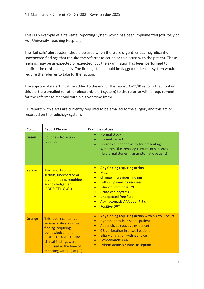This is an example of a 'fail-safe' reporting system which has been implemented (courtesy of Hull University Teaching Hospitals)

The 'fail-safe' alert system should be used when there are urgent, critical, significant or unexpected findings that require the referrer to action or to discuss with the patient. These findings may be unexpected or expected, but the examination has been performed to confirm the clinical diagnosis. The findings that should be flagged under this system would require the referrer to take further action.

The appropriate alert must be added to the end of the report. OPD/IP reports that contain this alert are emailed (or other electronic alert system) to the referrer with a requirement for the referrer to respond within a given time frame.

GP reports with alerts are currently required to be emailed to the surgery and this action recorded on the radiology system.

| Colour        | <b>Report Phrase</b>                                                                                                                                                                                     | <b>Examples of use</b>                                                                                                                                                                                                                                                                                                                                                                  |
|---------------|----------------------------------------------------------------------------------------------------------------------------------------------------------------------------------------------------------|-----------------------------------------------------------------------------------------------------------------------------------------------------------------------------------------------------------------------------------------------------------------------------------------------------------------------------------------------------------------------------------------|
| <b>Green</b>  | Routine - No action<br>required                                                                                                                                                                          | Normal study<br><b>Normal variant</b><br>Insignificant abnormality for presenting<br>$\bullet$<br>symptoms (i.e. renal cyst, mural or subserosal<br>fibroid, gallstones in asymptomatic patient)                                                                                                                                                                                        |
| Yellow        | This report contains a<br>serious, unexpected or<br>urgent finding, requiring<br>acknowledgement<br>(CODE: YELLOW1)                                                                                      | Any finding requiring action<br>$\bullet$<br><b>Mass</b><br>$\bullet$<br>Change in previous findings<br>$\bullet$<br>Follow up imaging required<br>$\bullet$<br><b>Biliary dilatation (GP/OP)</b><br>$\bullet$<br><b>Acute cholecystitis</b><br>$\bullet$<br><b>Unexpected free fluid</b><br>$\bullet$<br>Asymptomatic AAA over 7.5 cm<br>$\bullet$<br><b>Positive DVT</b><br>$\bullet$ |
| <b>Orange</b> | This report contains a<br>serious, critical or urgent<br>finding, requiring<br>acknowledgement<br>(CODE: ORANGE1). The<br>clinical findings were<br>discussed at the time of<br>reporting with [] at []. | Any finding requiring action within 4 to 6 hours<br>$\bullet$<br>Hydronephrosis in septic patient<br>$\bullet$<br>Appendicitis (positive evidence)<br>$\bullet$<br>GB perforation in unwell patient<br>$\bullet$<br><b>Biliary dilatation with jaundice</b><br>$\bullet$<br><b>Symptomatic AAA</b><br>$\bullet$<br>Pyloric stenosis / intussusception<br>$\bullet$                      |